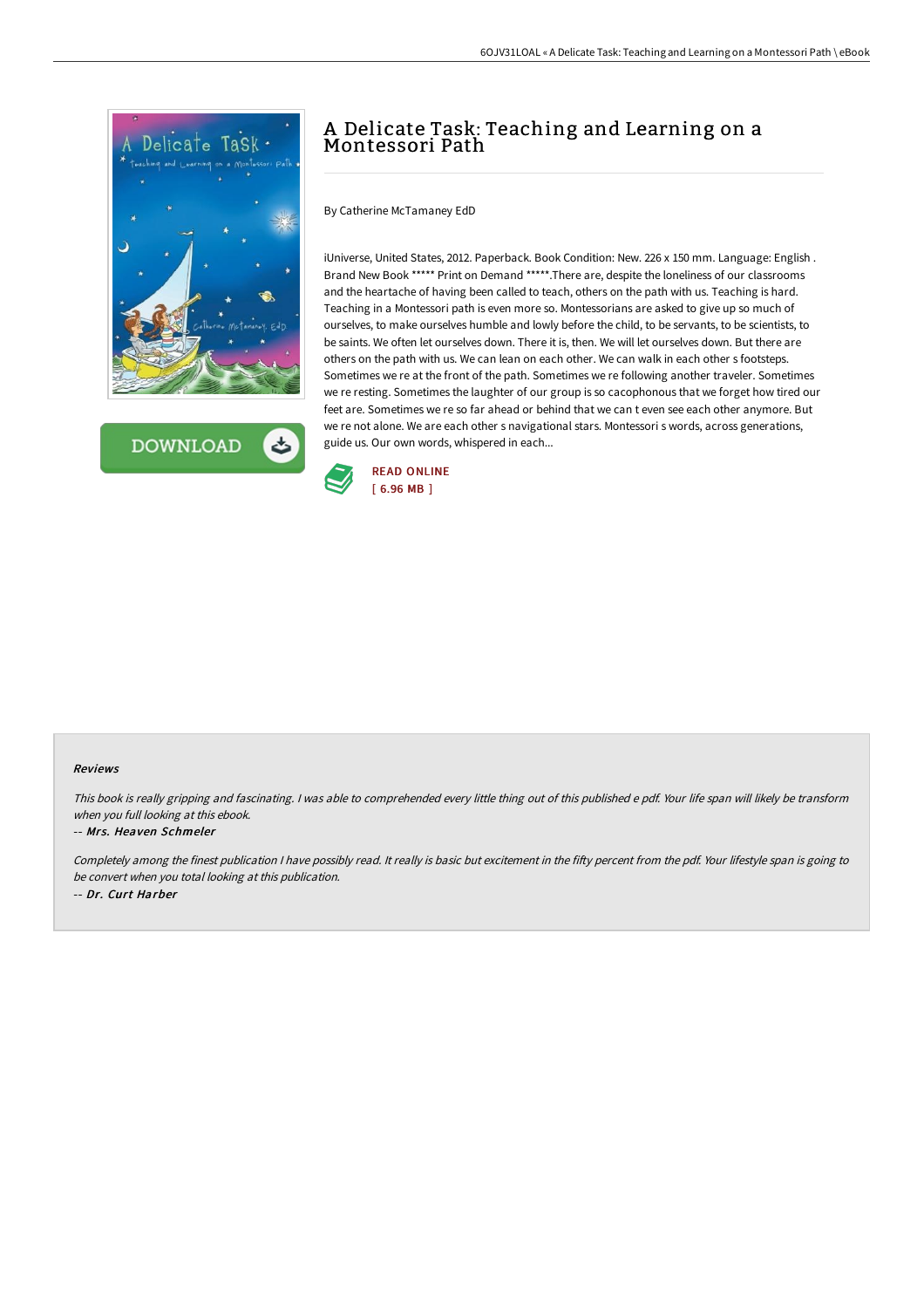

**DOWNLOAD** 

# A Delicate Task: Teaching and Learning on a Montessori Path

By Catherine McTamaney EdD

iUniverse, United States, 2012. Paperback. Book Condition: New. 226 x 150 mm. Language: English . Brand New Book \*\*\*\*\* Print on Demand \*\*\*\*\*.There are, despite the loneliness of our classrooms and the heartache of having been called to teach, others on the path with us. Teaching is hard. Teaching in a Montessori path is even more so. Montessorians are asked to give up so much of ourselves, to make ourselves humble and lowly before the child, to be servants, to be scientists, to be saints. We often let ourselves down. There it is, then. We will let ourselves down. But there are others on the path with us. We can lean on each other. We can walk in each other s footsteps. Sometimes we re at the front of the path. Sometimes we re following another traveler. Sometimes we re resting. Sometimes the laughter of our group is so cacophonous that we forget how tired our feet are. Sometimes we re so far ahead or behind that we can t even see each other anymore. But we re not alone. We are each other s navigational stars. Montessori s words, across generations, guide us. Our own words, whispered in each...



#### Reviews

This book is really gripping and fascinating. I was able to comprehended every little thing out of this published e pdf. Your life span will likely be transform when you full looking at this ebook.

#### -- Mrs. Heaven Schmeler

Completely among the finest publication I have possibly read. It really is basic but excitement in the fifty percent from the pdf. Your lifestyle span is going to be convert when you total looking at this publication. -- Dr. Curt Harber